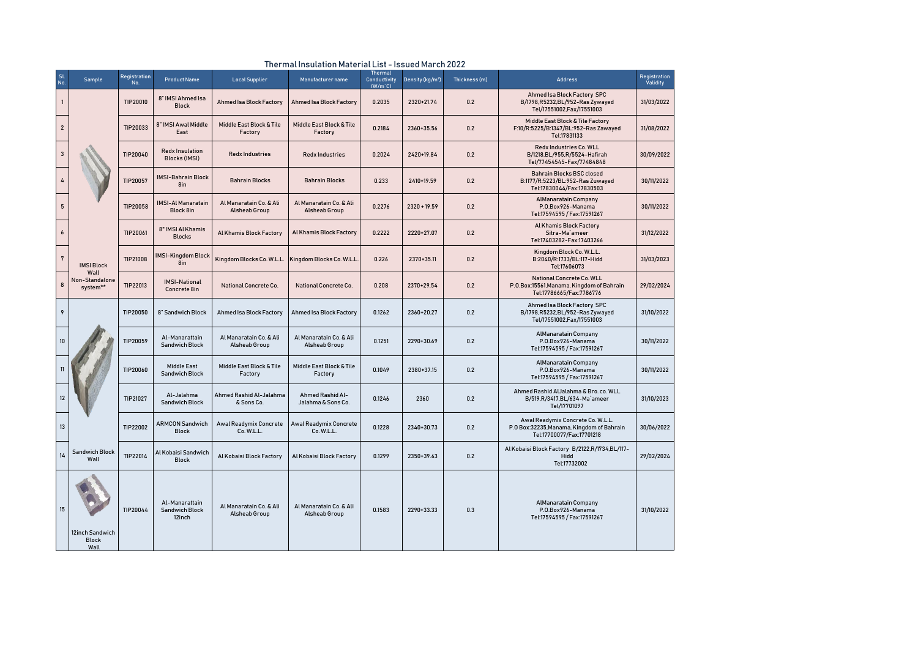| <b>Sl</b><br>No. | Sample                                  | Registration<br>No. | <b>Product Name</b>                               | <b>Local Supplier</b>                           | Manufacturer name                           | Thermal<br>Conductivity<br>$(W/m^{\circ}C)$ | Density (kg/m <sup>3</sup> ) | Thickness (m) | <b>Address</b>                                                                                              | Registration<br>Validity |
|------------------|-----------------------------------------|---------------------|---------------------------------------------------|-------------------------------------------------|---------------------------------------------|---------------------------------------------|------------------------------|---------------|-------------------------------------------------------------------------------------------------------------|--------------------------|
| $\mathbf{1}$     |                                         | TIP20010            | 8" IMSI Ahmed Isa<br><b>Block</b>                 | Ahmed Isa Block Factory                         | <b>Ahmed Isa Block Factory</b>              | 0.2035                                      | 2320+21.74                   | 0.2           | Ahmed Isa Block Factory SPC<br>B/1798, R5232, BL/952-Ras Zywayed<br>Tel/17551002, Fax/17551003              | 31/03/2022               |
| $\overline{2}$   |                                         | TIP20033            | 8" IMSI Awal Middle<br>East                       | Middle East Block & Tile<br>Factory             | Middle East Block & Tile<br>Factory         | 0.2184                                      | 2360+35.56                   | 0.2           | Middle East Block & Tile Factory<br>F:10/R:5225/B:1347/BL:952-Ras Zawayed<br>Tel:17831133                   | 31/08/2022               |
| $\overline{3}$   |                                         | TIP20040            | <b>Redx Insulation</b><br><b>Blocks (IMSI)</b>    | <b>Redx Industries</b>                          | <b>Redx Industries</b>                      | 0.2024                                      | 2420+19.84                   | 0.2           | Redx Industries Co. WLL<br>B/1218, BL/955, R/5524-Hafirah<br>Tel/77454545-Fax/77484848                      | 30/09/2022               |
|                  |                                         | TIP20057            | <b>IMSI-Bahrain Block</b><br>8in                  | <b>Bahrain Blocks</b>                           | <b>Bahrain Blocks</b>                       | 0.233                                       | 2410+19.59                   | 0.2           | <b>Bahrain Blocks BSC closed</b><br>B:1177/R:5223/BL:952-Ras Zuwayed<br>Tel:17830044/Fax:17830503           | 30/11/2022               |
| 5                |                                         | TIP20058            | <b>IMSI-Al Manaratain</b><br>Block 8in            | Al Manaratain Co. & Ali<br><b>Alsheab Group</b> | Al Manaratain Co. & Ali<br>Alsheab Group    | 0.2276                                      | $2320 + 19.59$               | 0.2           | <b>AlManaratain Company</b><br>P.O.Box926-Manama<br>Tel:17594595 / Fax:17591267                             | 30/11/2022               |
| $\pmb{6}$        |                                         | TIP20061            | 8" IMSI Al Khamis<br><b>Blocks</b>                | Al Khamis Block Factory                         | Al Khamis Block Factory                     | 0.2222                                      | 2220+27.07                   | 0.2           | Al Khamis Block Factory<br>Sitra-Ma`ameer<br>Tel:17403282-Fax:17403266                                      | 31/12/2022               |
| $\overline{7}$   | <b>IMSI Block</b>                       | TIP21008            | IMSI-Kingdom Block<br>8in                         | Kingdom Blocks Co. W.L.L.                       | Kingdom Blocks Co. W.L.L                    | 0.226                                       | 2370+35.11                   | 0.2           | Kingdom Block Co. W.L.L.<br>B:2040/R:1733/BL:117-Hidd<br>Tel:17606073                                       | 31/03/2023               |
| 8                | Wall<br>Non-Standalone<br>system**      | TIP22013            | <b>IMSI-National</b><br>Concrete 8in              | <b>National Concrete Co.</b>                    | National Concrete Co.                       | 0.208                                       | 2370+29.54                   | 0.2           | National Concrete Co. WLL<br>P.O.Box:15561, Manama, Kingdom of Bahrain<br>Tel:17786665/Fax:7786776          | 29/02/2024               |
| 9                |                                         | TIP20050            | 8" Sandwich Block                                 | Ahmed Isa Block Factory                         | Ahmed Isa Block Factory                     | 0.1262                                      | 2360+20.27                   | 0.2           | Ahmed Isa Block Factory SPC<br>B/1798, R5232, BL/952-Ras Zywayed<br>Tel/17551002, Fax/17551003              | 31/10/2022               |
| 10               |                                         | TIP20059            | Al-Manarattain<br><b>Sandwich Block</b>           | Al Manaratain Co. & Ali<br><b>Alsheab Group</b> | Al Manaratain Co. & Ali<br>Alsheab Group    | 0.1251                                      | 2290+30.69                   | 0.2           | <b>AlManaratain Company</b><br>P.O.Box926-Manama<br>Tel:17594595 / Fax:17591267                             | 30/11/2022               |
|                  |                                         | TIP20060            | <b>Middle East</b><br>Sandwich Block              | Middle East Block & Tile<br>Factory             | Middle East Block & Tile<br>Factory         | 0.1049                                      | 2380+37.15                   | 0.2           | <b>AlManaratain Company</b><br>P.O.Box926-Manama<br>Tel:17594595 / Fax:17591267                             | 30/11/2022               |
| 12               |                                         | TIP21027            | Al-Jalahma<br><b>Sandwich Block</b>               | Ahmed Rashid Al-Jalahma<br>& Sons Co.           | Ahmed Rashid Al-<br>Jalahma & Sons Co.      | 0.1246                                      | 2360                         | 0.2           | Ahmed Rashid AlJalahma & Bro. co. WLL<br>B/519, R/3417, BL/634-Ma'ameer<br>Tel/17701097                     | 31/10/2023               |
| 13               |                                         | TIP22002            | <b>ARMCON Sandwich</b><br><b>Block</b>            | <b>Awal Readymix Concrete</b><br>Co. W.L.L.     | <b>Awal Readymix Concrete</b><br>Co. W.L.L. | 0.1228                                      | 2340+30.73                   | 0.2           | Awal Readymix Concrete Co. W.L.L.<br>P.O Box:32235, Manama, Kingdom of Bahrain<br>Tel:17700077/Fax:17701218 | 30/06/2022               |
| 14               | <b>Sandwich Block</b><br>Wall           | TIP22014            | Al Kobaisi Sandwich<br><b>Block</b>               | Al Kobaisi Block Factory                        | Al Kobaisi Block Factory                    | 0.1299                                      | 2350+39.63                   | 0.2           | Al Kobaisi Block Factory B/2122,R/1734,BL/117-<br>Hidd<br>Tel:17732002                                      | 29/02/2024               |
| 15               | 12inch Sandwich<br><b>Block</b><br>Wall | TIP20044            | Al-Manarattain<br><b>Sandwich Block</b><br>12inch | Al Manaratain Co. & Ali<br><b>Alsheab Group</b> | Al Manaratain Co. & Ali<br>Alsheab Group    | 0.1583                                      | 2290+33.33                   | 0.3           | <b>AlManaratain Company</b><br>P.O.Box926-Manama<br>Tel:17594595 / Fax:17591267                             | 31/10/2022               |

## Thermal Insulation Material List - Issued March 2022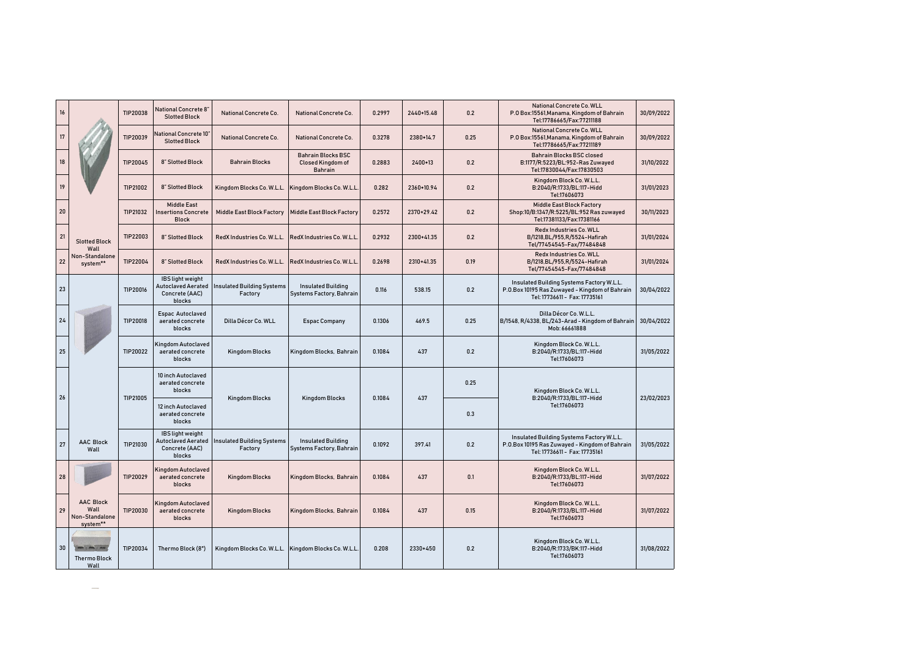| $16\,$ |                                                        | TIP20038 | <b>National Concrete 8'</b><br><b>Slotted Block</b>                       | National Concrete Co.                        | National Concrete Co.                                            | 0.2997 | 2440+15.48 | 0.2  | National Concrete Co. WLL<br>P.O Box:15561, Manama, Kingdom of Bahrain<br>Tel:17786665/Fax:77211188                          | 30/09/2022 |
|--------|--------------------------------------------------------|----------|---------------------------------------------------------------------------|----------------------------------------------|------------------------------------------------------------------|--------|------------|------|------------------------------------------------------------------------------------------------------------------------------|------------|
| 17     |                                                        | TIP20039 | National Concrete 10'<br><b>Slotted Block</b>                             | <b>National Concrete Co.</b>                 | <b>National Concrete Co.</b>                                     | 0.3278 | 2380+14.7  | 0.25 | <b>National Concrete Co. WLL</b><br>P.O Box:15561, Manama, Kingdom of Bahrain<br>Tel:17786665/Fax:77211189                   | 30/09/2022 |
| 18     |                                                        | TIP20045 | 8" Slotted Block                                                          | <b>Bahrain Blocks</b>                        | <b>Bahrain Blocks BSC</b><br>Closed Kingdom of<br><b>Bahrain</b> | 0.2883 | 2400+13    | 0.2  | <b>Bahrain Blocks BSC closed</b><br>B:1177/R:5223/BL:952-Ras Zuwayed<br>Tel:17830044/Fax:17830503                            | 31/10/2022 |
| 19     |                                                        | TIP21002 | 8" Slotted Block                                                          | Kingdom Blocks Co. W.L.L.                    | Kingdom Blocks Co. W.L.L                                         | 0.282  | 2360+10.94 | 0.2  | Kingdom Block Co. W.L.L.<br>B:2040/R:1733/BL:117-Hidd<br>Tel:17606073                                                        | 31/01/2023 |
| 20     |                                                        | TIP21032 | <b>Middle East</b><br><b>Insertions Concrete</b><br><b>Block</b>          | <b>Middle East Block Factory</b>             | <b>Middle East Block Factory</b>                                 | 0.2572 | 2370+29.42 | 0.2  | <b>Middle East Block Factory</b><br>Shop:10/B:1347/R:5225/BL:952 Ras zuwayed<br>Tel:17381133/Fax:17381166                    | 30/11/2023 |
| 21     | <b>Slotted Block</b><br>Wall                           | TIP22003 | 8" Slotted Block                                                          | RedX Industries Co. W.L.L.                   | RedX Industries Co. W.L.L                                        | 0.2932 | 2300+41.35 | 0.2  | Redx Industries Co. WLL<br>B/1218, BL/955, R/5524-Hafirah<br>Tel/77454545-Fax/77484848                                       | 31/01/2024 |
| 22     | Non-Standalone<br>system**                             | TIP22004 | 8" Slotted Block                                                          | RedX Industries Co. W.L.L.                   | RedX Industries Co. W.L.L                                        | 0.2698 | 2310+41.35 | 0.19 | Redx Industries Co. WLL<br>B/1218, BL/955, R/5524-Hafirah<br>Tel/77454545-Fax/77484848                                       | 31/01/2024 |
| 23     |                                                        | TIP20016 | IBS light weight<br><b>Autoclaved Aerated</b><br>Concrete (AAC)<br>blocks | <b>Insulated Building Systems</b><br>Factory | <b>Insulated Building</b><br>Systems Factory, Bahrain            | 0.116  | 538.15     | 0.2  | Insulated Building Systems Factory W.L.L.<br>P.O.Box 10195 Ras Zuwayed - Kingdom of Bahrain<br>Tel: 17736611 - Fax: 17735161 | 30/04/2022 |
| 24     |                                                        | TIP20018 | Espac Autoclaved<br>aerated concrete<br>blocks                            | Dilla Décor Co. WLL                          | <b>Espac Company</b>                                             | 0.1306 | 469.5      | 0.25 | Dilla Décor Co. W.L.L.<br>B/1548, R/4338, BL/243-Arad - Kingdom of Bahrain<br>Mob: 66661888                                  | 30/04/2022 |
| 25     |                                                        | TIP20022 | Kingdom Autoclaved<br>aerated concrete<br>blocks                          | <b>Kingdom Blocks</b>                        | Kingdom Blocks, Bahrain                                          | 0.1084 | 437        | 0.2  | Kingdom Block Co. W.L.L.<br>B:2040/R:1733/BL:117-Hidd<br>Tel:17606073                                                        | 31/05/2022 |
| 26     |                                                        | TIP21005 | 10 inch Autoclaved<br>aerated concrete<br>blocks                          | <b>Kingdom Blocks</b>                        |                                                                  | 0.1084 | 437        | 0.25 | Kingdom Block Co. W.L.L.<br>B:2040/R:1733/BL:117-Hidd                                                                        | 23/02/2023 |
|        |                                                        |          | 12 inch Autoclaved<br>aerated concrete<br>blocks                          |                                              | <b>Kingdom Blocks</b>                                            |        |            | 0.3  | Tel:17606073                                                                                                                 |            |
| 27     | <b>AAC Block</b><br>Wall                               | TIP21030 | IBS light weight<br><b>Autoclaved Aerated</b><br>Concrete (AAC)<br>blocks | <b>Insulated Building Systems</b><br>Factory | <b>Insulated Building</b><br>Systems Factory, Bahrain            | 0.1092 | 397.41     | 0.2  | Insulated Building Systems Factory W.L.L.<br>P.O.Box 10195 Ras Zuwayed - Kingdom of Bahrain<br>Tel: 17736611 - Fax: 17735161 | 31/05/2022 |
| 28     |                                                        | TIP20029 | Kingdom Autoclaved<br>aerated concrete<br>blocks                          | <b>Kingdom Blocks</b>                        | Kingdom Blocks, Bahrain                                          | 0.1084 | 437        | 0.1  | Kingdom Block Co. W.L.L.<br>B:2040/R:1733/BL:117-Hidd<br>Tel:17606073                                                        | 31/07/2022 |
| 29     | <b>AAC Block</b><br>Wall<br>Non-Standalone<br>system** | TIP20030 | Kingdom Autoclaved<br>aerated concrete<br>blocks                          | <b>Kingdom Blocks</b>                        | Kingdom Blocks, Bahrain                                          | 0.1084 | 437        | 0.15 | Kingdom Block Co. W.L.L.<br>B:2040/R:1733/BL:117-Hidd<br>Tel:17606073                                                        | 31/07/2022 |
| 30     | <b>PERSONAL PROPERTY</b><br><b>Thermo Block</b>        | TIP20034 | Thermo Block (8")                                                         | Kingdom Blocks Co. W.L.L.                    | Kingdom Blocks Co. W.L.L                                         | 0.208  | 2330+450   | 0.2  | Kingdom Block Co. W.L.L.<br>B:2040/R:1733/BK:117-Hidd<br>Tel:17606073                                                        | 31/08/2022 |
|        | Wall                                                   |          |                                                                           |                                              |                                                                  |        |            |      |                                                                                                                              |            |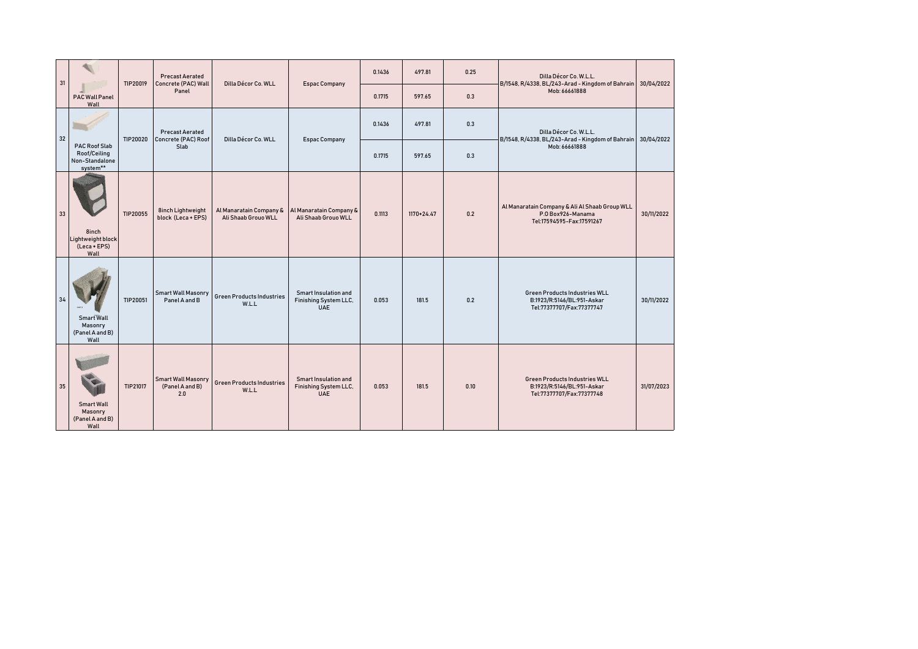| 31 |                                                                    | TIP20019 | <b>Precast Aerated</b><br>Concrete (PAC) Wall       | Dilla Décor Co. WLL                            | <b>Espac Company</b>                                               | 0.1436 | 497.81     | 0.25 | Dilla Décor Co. W.L.L.<br>B/1548, R/4338, BL/243-Arad - Kingdom of Bahrain 30/04/2022            |            |
|----|--------------------------------------------------------------------|----------|-----------------------------------------------------|------------------------------------------------|--------------------------------------------------------------------|--------|------------|------|--------------------------------------------------------------------------------------------------|------------|
|    | <b>PAC Wall Panel</b><br>Wall                                      |          | Panel                                               |                                                |                                                                    | 0.1715 | 597.65     | 0.3  | Mob: 66661888                                                                                    |            |
| 32 |                                                                    | TIP20020 | <b>Precast Aerated</b><br>Concrete (PAC) Roof       | Dilla Décor Co. WLL                            | <b>Espac Company</b>                                               | 0.1436 | 497.81     | 0.3  | Dilla Décor Co. W.L.L.<br>B/1548, R/4338, BL/243-Arad - Kingdom of Bahrain 30/04/2022            |            |
|    | <b>PAC Roof Slab</b><br>Roof/Ceiling<br>Non-Standalone<br>system** |          | Slab                                                |                                                |                                                                    | 0.1715 | 597.65     | 0.3  | Mob: 66661888                                                                                    |            |
| 33 | 8inch<br>Lightweight block<br>(Leca + EPS)<br>Wall                 | TIP20055 | 8inch Lightweight<br>block (Leca + EPS)             | Al Manaratain Company &<br>Ali Shaab Grouo WLL | Al Manaratain Company &<br>Ali Shaab Grouo WLL                     | 0.1113 | 1170+24.47 | 0.2  | Al Manaratain Company & Ali Al Shaab Group WLL<br>P.O Box926-Manama<br>Tel:17594595-Fax:17591267 | 30/11/2022 |
|    | Smart Wall<br>Masonry<br>(Panel A and B)<br>Wall                   | TIP20051 | <b>Smart Wall Masonry</b><br>Panel A and B          | <b>Green Products Industries</b><br>W.L.L      | Smart Insulation and<br>Finishing System LLC,<br><b>UAE</b>        | 0.053  | 181.5      | 0.2  | <b>Green Products Industries WLL</b><br>B:1923/R:5146/BL:951-Askar<br>Tel:77377707/Fax:77377747  | 30/11/2022 |
| 35 | <b>Smart Wall</b><br>Masonry<br>(Panel A and B)<br>Wall            | TIP21017 | <b>Smart Wall Masonry</b><br>(Panel A and B)<br>2.0 | <b>Green Products Industries</b><br>W.L.L      | <b>Smart Insulation and</b><br>Finishing System LLC,<br><b>UAE</b> | 0.053  | 181.5      | 0.10 | Green Products Industries WLL<br>B:1923/R:5146/BL:951-Askar<br>Tel:77377707/Fax:77377748         | 31/07/2023 |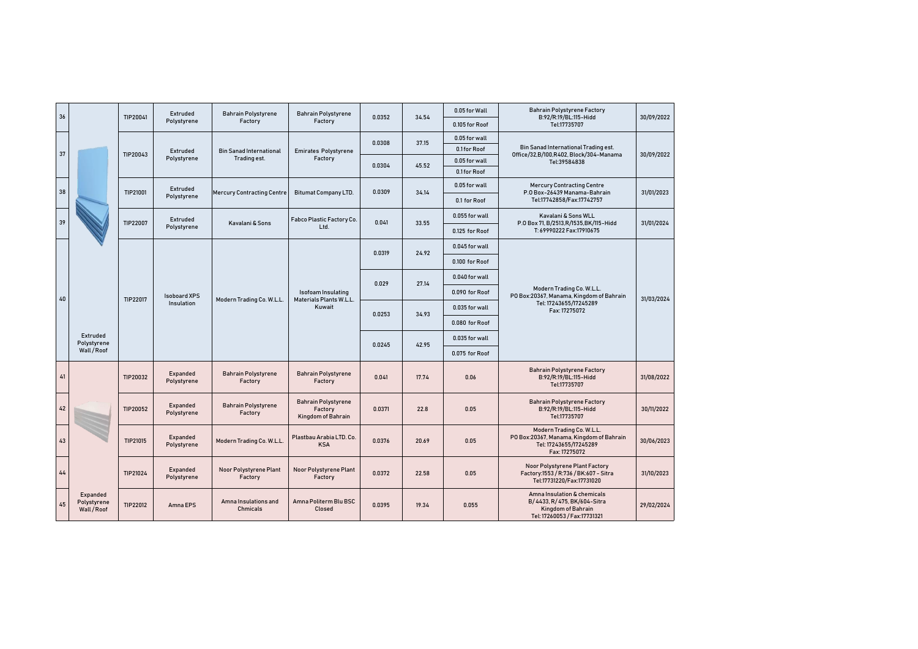| 36 |                                      | TIP20041 | Extruded<br>Polystyrene | <b>Bahrain Polystyrene</b><br>Factory | <b>Bahrain Polystyrene</b><br>Factory                       | 0.0352 | 34.54 | 0.05 for Wall  | <b>Bahrain Polystyrene Factory</b><br>B:92/R:19/BL:115-Hidd                                                      | 30/09/2022 |
|----|--------------------------------------|----------|-------------------------|---------------------------------------|-------------------------------------------------------------|--------|-------|----------------|------------------------------------------------------------------------------------------------------------------|------------|
|    |                                      |          |                         |                                       |                                                             |        |       | 0.105 for Roof | Tel:17735707                                                                                                     |            |
|    |                                      |          |                         |                                       |                                                             | 0.0308 | 37.15 | 0.05 for wall  |                                                                                                                  |            |
| 37 |                                      | TIP20043 | Extruded                | <b>Bin Sanad International</b>        | <b>Emirates Polystyrene</b>                                 |        |       | 0.1 for Roof   | Bin Sanad International Trading est.<br>Office/32,B/100,R402, Block/304-Manama                                   | 30/09/2022 |
|    |                                      |          | Polystyrene             | Trading est.                          | Factory                                                     | 0.0304 | 45.52 | 0.05 for wall  | Tel:39584838                                                                                                     |            |
|    |                                      |          |                         |                                       |                                                             |        |       | 0.1 for Roof   |                                                                                                                  |            |
| 38 |                                      | TIP21001 | Extruded<br>Polystyrene | <b>Mercury Contracting Centre</b>     | <b>Bitumat Company LTD.</b>                                 | 0.0309 | 34.14 | 0.05 for wall  | <b>Mercury Contracting Centre</b><br>P.O Box-26439 Manama-Bahrain                                                | 31/01/2023 |
|    |                                      |          |                         |                                       |                                                             |        |       | 0.1 for Roof   | Tel:17742858/Fax:17742757                                                                                        |            |
| 39 |                                      | TIP22007 | Extruded                | Kavalani & Sons                       | Fabco Plastic Factory Co.<br>Ltd.                           | 0.041  | 33.55 | 0.055 for wall | Kavalani & Sons WLL<br>P.O Box 71, B/2513, R/1535, BK/115-Hidd                                                   | 31/01/2024 |
|    |                                      |          | Polystyrene             |                                       |                                                             |        |       | 0.125 for Roof | T: 69990222 Fax:17910675                                                                                         |            |
|    |                                      |          |                         |                                       |                                                             | 0.0319 | 24.92 | 0.045 for wall |                                                                                                                  |            |
|    |                                      |          |                         |                                       |                                                             |        |       | 0.100 for Roof |                                                                                                                  |            |
|    |                                      |          |                         |                                       |                                                             | 0.029  | 27.14 | 0.040 for wall |                                                                                                                  |            |
| 40 |                                      | TIP22017 | <b>Isoboard XPS</b>     | Modern Trading Co. W.L.L.             | Isofoam Insulating<br>Materials Plants W.L.L.               |        |       | 0.090 for Roof | Modern Trading Co. W.L.L.<br>PO Box:20367, Manama, Kingdom of Bahrain                                            | 31/03/2024 |
|    |                                      |          | Insulation              |                                       | Kuwait                                                      | 0.0253 | 34.93 | 0.035 for wall | Tel: 17243655/17245289<br>Fax: 17275072                                                                          |            |
|    |                                      |          |                         |                                       |                                                             |        |       | 0.080 for Roof |                                                                                                                  |            |
|    | Extruded<br>Polystyrene              |          |                         |                                       |                                                             | 0.0245 | 42.95 | 0.035 for wall |                                                                                                                  |            |
|    | Wall/Roof                            |          |                         |                                       |                                                             |        |       | 0.075 for Roof |                                                                                                                  |            |
| 41 |                                      | TIP20032 | Expanded<br>Polystyrene | <b>Bahrain Polystyrene</b><br>Factory | <b>Bahrain Polystyrene</b><br>Factory                       | 0.041  | 17.74 | 0.06           | <b>Bahrain Polystyrene Factory</b><br>B:92/R:19/BL:115-Hidd<br>Tel:17735707                                      | 31/08/2022 |
| 42 |                                      | TIP20052 | Expanded<br>Polystyrene | <b>Bahrain Polystyrene</b><br>Factory | <b>Bahrain Polystyrene</b><br>Factory<br>Kingdom of Bahrain | 0.0371 | 22.8  | 0.05           | <b>Bahrain Polystyrene Factory</b><br>B:92/R:19/BL:115-Hidd<br>Tel:17735707                                      | 30/11/2022 |
| 43 |                                      | TIP21015 | Expanded<br>Polystyrene | Modern Trading Co. W.L.L.             | Plastbau Arabia LTD, Co.<br><b>KSA</b>                      | 0.0376 | 20.69 | 0.05           | Modern Trading Co. W.L.L.<br>PO Box:20367, Manama, Kingdom of Bahrain<br>Tel: 17243655/17245289<br>Fax: 17275072 | 30/06/2023 |
| 44 |                                      | TIP21024 | Expanded<br>Polystyrene | Noor Polystyrene Plant<br>Factory     | Noor Polystyrene Plant<br>Factory                           | 0.0372 | 22.58 | 0.05           | Noor Polystyrene Plant Factory<br>Factory:1553 / R:736 / BK:607 - Sitra<br>Tel:17731220/Fax:17731020             | 31/10/2023 |
| 45 | Expanded<br>Polystyrene<br>Wall/Roof | TIP22012 | Amna EPS                | Amna Insulations and<br>Chmicals      | Amna Politerm Blu BSC<br>Closed                             | 0.0395 | 19.34 | 0.055          | Amna Insulation & chemicals<br>B/4433, R/475, BK/604-Sitra<br>Kingdom of Bahrain<br>Tel: 17260053 / Fax:17731321 | 29/02/2024 |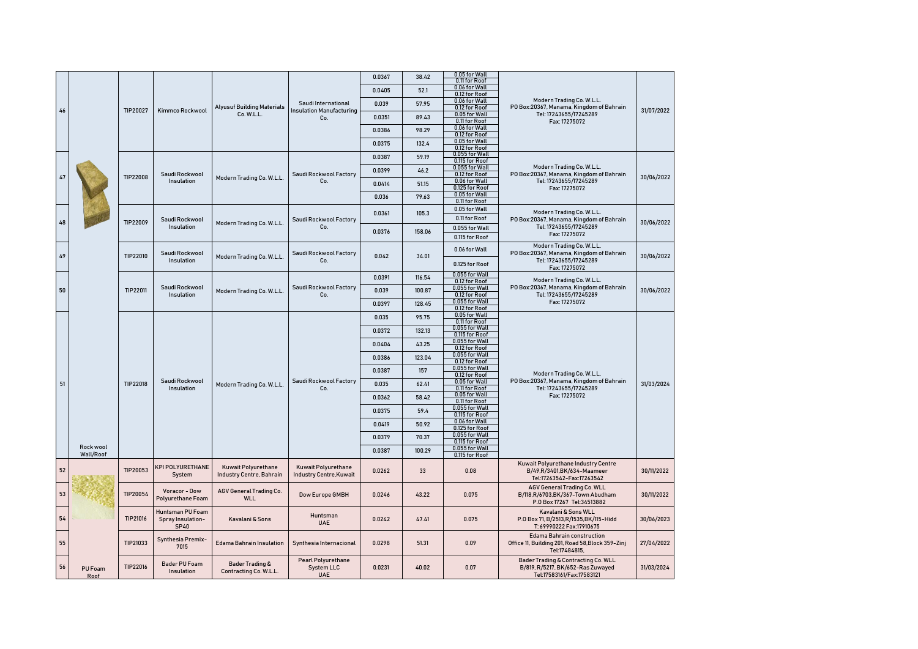|    |                        |          |                                               |                                                      |                                                | 0.0367 | 38.42  | 0.05 for Wall                                    |                                                                                                                  |            |
|----|------------------------|----------|-----------------------------------------------|------------------------------------------------------|------------------------------------------------|--------|--------|--------------------------------------------------|------------------------------------------------------------------------------------------------------------------|------------|
|    |                        |          |                                               |                                                      |                                                | 0.0405 | 52.1   | 0.11 for Roof<br>0.06 for Wall<br>0.12 for Roof  |                                                                                                                  |            |
|    |                        |          |                                               | <b>Alyusuf Building Materials</b>                    | Saudi International                            | 0.039  | 57.95  | 0.06 for Wall<br>0.12 for Roof                   | Modern Trading Co. W.L.L.<br>PO Box:20367, Manama, Kingdom of Bahrain                                            |            |
| 46 |                        | TIP20027 | Kimmco Rockwool                               | Co. W.L.L.                                           | <b>Insulation Manufacturing</b><br>Co.         | 0.0351 | 89.43  | 0.05 for Wall<br>0.11 for Roof                   | Tel: 17243655/17245289<br>Fax: 17275072                                                                          | 31/07/2022 |
|    |                        |          |                                               |                                                      |                                                | 0.0386 | 98.29  | 0.06 for Wall<br>0.12 for Roof                   |                                                                                                                  |            |
|    |                        |          |                                               |                                                      |                                                | 0.0375 | 132.4  | 0.05 for Wall<br>0.12 for Roof                   |                                                                                                                  |            |
|    |                        |          |                                               |                                                      |                                                | 0.0387 | 59.19  | 0.055 for Wall<br>0.115 for Roof                 |                                                                                                                  |            |
| 47 |                        | TIP22008 | Saudi Rockwool                                | Modern Trading Co. W.L.L.                            | Saudi Rockwool Factory                         | 0.0399 | 46.2   | 0.055 for Wall<br>0.12 for Roof                  | Modern Trading Co. W.L.L.<br>PO Box:20367, Manama, Kingdom of Bahrain                                            | 30/06/2022 |
|    |                        |          | Insulation                                    |                                                      | Co.                                            | 0.0414 | 51.15  | 0.06 for Wall<br>0.125 for Roof                  | Tel: 17243655/17245289<br>Fax: 17275072                                                                          |            |
|    |                        |          |                                               |                                                      |                                                | 0.036  | 79.63  | 0.05 for Wall<br>0.11 for Roof                   |                                                                                                                  |            |
|    |                        |          |                                               |                                                      |                                                | 0.0361 | 105.3  | 0.05 for Wall<br>0.11 for Roof                   | Modern Trading Co. W.L.L.                                                                                        |            |
| 48 |                        | TIP22009 | Saudi Rockwool<br>Insulation                  | Modern Trading Co. W.L.L.                            | Saudi Rockwool Factory<br>Co.                  |        |        | 0.055 for Wall                                   | PO Box:20367, Manama, Kingdom of Bahrain<br>Tel: 17243655/17245289                                               | 30/06/2022 |
|    |                        |          |                                               |                                                      |                                                | 0.0376 | 158.06 | 0.115 for Roof                                   | Fax: 17275072                                                                                                    |            |
| 49 |                        | TIP22010 | Saudi Rockwool<br>Insulation                  | Modern Trading Co. W.L.L.                            | Saudi Rockwool Factory<br>Co.                  | 0.042  | 34.01  | 0.06 for Wall<br>0.125 for Roof                  | Modern Trading Co. W.L.L.<br>PO Box:20367, Manama, Kingdom of Bahrain<br>Tel: 17243655/17245289<br>Fax: 17275072 | 30/06/2022 |
|    |                        |          |                                               |                                                      |                                                | 0.0391 | 116.54 | 0.055 for Wall                                   | Modern Trading Co. W.L.L.                                                                                        |            |
|    | 50                     | TIP22011 | Saudi Rockwool                                | Modern Trading Co. W.L.L.                            | Saudi Rockwool Factory                         | 0.039  | 100.87 | 0.12 for Roof<br>0.055 for Wall                  | PO Box:20367, Manama, Kingdom of Bahrain                                                                         | 30/06/2022 |
|    |                        |          | Insulation                                    |                                                      | Co.                                            | 0.0397 | 128.45 | 0.12 for Roof<br>0.055 for Wall<br>0.12 for Roof | Tel: 17243655/17245289<br>Fax: 17275072                                                                          |            |
|    |                        |          |                                               |                                                      |                                                | 0.035  | 95.75  | 0.05 for Wall<br>0.11 for Roof                   |                                                                                                                  |            |
|    |                        |          |                                               |                                                      |                                                | 0.0372 | 132.13 | 0.055 for Wall<br>0.115 for Roof                 |                                                                                                                  |            |
|    |                        |          |                                               |                                                      |                                                | 0.0404 | 43.25  | 0.055 for Wall<br>0.12 for Roof                  |                                                                                                                  |            |
|    |                        |          |                                               |                                                      |                                                | 0.0386 | 123.04 | 0.055 for Wall<br>0.12 for Roof                  |                                                                                                                  |            |
|    |                        |          |                                               |                                                      |                                                | 0.0387 | 157    | 0.055 for Wall<br>0.12 for Roof                  | Modern Trading Co. W.L.L.                                                                                        |            |
| 51 |                        | TIP22018 | Saudi Rockwool<br>Insulation                  | Modern Trading Co. W.L.L.                            | Saudi Rockwool Factory<br>Co.                  | 0.035  | 62.41  | 0.05 for Wall<br>0.11 for Roof                   | PO Box:20367, Manama, Kingdom of Bahrain<br>Tel: 17243655/17245289                                               | 31/03/2024 |
|    |                        |          |                                               |                                                      |                                                | 0.0362 | 58.42  | 0.05 for Wall<br>0.11 for Roof                   | Fax: 17275072                                                                                                    |            |
|    |                        |          |                                               |                                                      |                                                | 0.0375 | 59.4   | 0.055 for Wall<br>0.115 for Roof                 |                                                                                                                  |            |
|    |                        |          |                                               |                                                      |                                                | 0.0419 | 50.92  | 0.06 for Wall<br>0.125 for Roof                  |                                                                                                                  |            |
|    |                        |          |                                               |                                                      |                                                | 0.0379 | 70.37  | 0.055 for Wall<br>0.115 for Roof                 |                                                                                                                  |            |
|    | Rock wool<br>Wall/Roof |          |                                               |                                                      |                                                | 0.0387 | 100.29 | 0.055 for Wall<br>0.115 for Roof                 |                                                                                                                  |            |
| 52 |                        | TIP20053 | KPI POLYURETHANE<br>System                    | Kuwait Polyurethane<br>Industry Centre, Bahrain      | Kuwait Polyurethane<br>Industry Centre, Kuwait | 0.0262 | 33     | 0.08                                             | Kuwait Polyurethane Industry Centre<br>B/49, R/3401, BK/634-Maameer<br>Tel:17263542-Fax:17263542                 | 30/11/2022 |
| 53 |                        | TIP20054 | Voracor - Dow<br>Polyurethane Foam            | AGV General Trading Co.<br><b>WLL</b>                | Dow Europe GMBH                                | 0.0246 | 43.22  | 0.075                                            | AGV General Trading Co. WLL<br>B/118,R/6703,BK/367-Town Abudham<br>P.O Box 17267 Tel:34513882                    | 30/11/2022 |
| 54 |                        | TIP21016 | Huntsman PU Foam<br>Spray Insulation-<br>SP40 | Kavalani & Sons                                      | Huntsman<br><b>UAE</b>                         | 0.0242 | 47.41  | 0.075                                            | Kavalani & Sons WLL<br>P.O Box 71, B/2513, R/1535, BK/115-Hidd<br>T: 69990222 Fax:17910675                       | 30/06/2023 |
|    | 55                     | TIP21033 | Synthesia Premix-<br>7015                     | <b>Edama Bahrain Insulation</b>                      | Synthesia Internacional                        | 0.0298 | 51.31  | 0.09                                             | <b>Edama Bahrain construction</b><br>Office 11, Building 201, Road 58, Block 359-Zinj<br>Tel:17484815,           | 27/04/2022 |
|    | 56<br>PU Foam<br>Roof  | TIP22016 | <b>Bader PU Foam</b><br>Insulation            | <b>Bader Trading &amp;</b><br>Contracting Co. W.L.L. | Pearl Polyurethane<br>System LLC<br><b>UAE</b> | 0.0231 | 40.02  | 0.07                                             | Bader Trading & Contracting Co. WLL<br>B/819, R/5217, BK/652-Ras Zuwayed<br>Tel:17583161/Fax:17583121            | 31/03/2024 |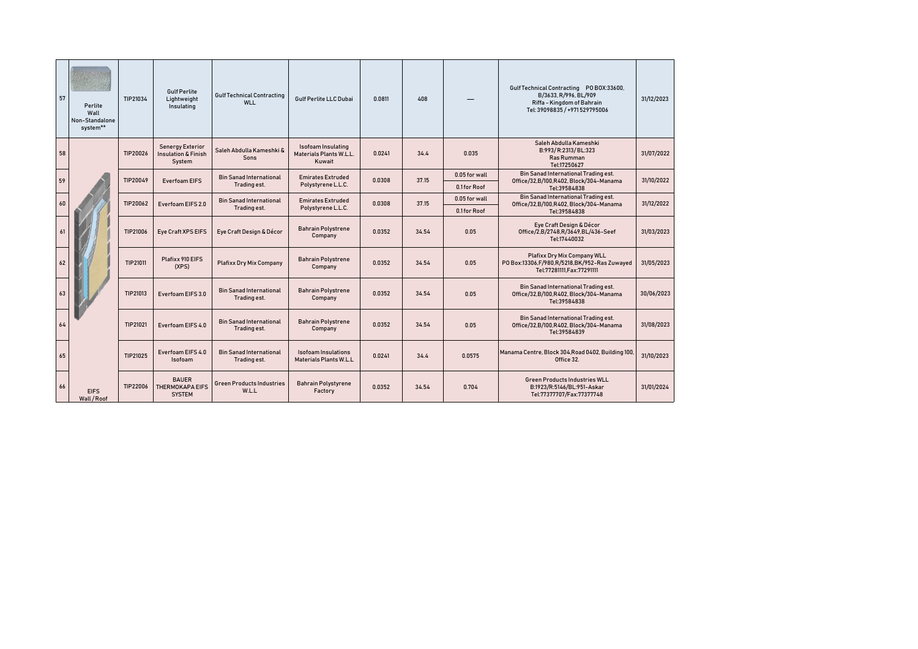| 57 | Perlite<br>Wall<br>Non-Standalone<br>system** | TIP21034 | <b>Gulf Perlite</b><br>Lightweight<br>Insulating                    | <b>Gulf Technical Contracting</b><br>WLL       | <b>Gulf Perlite LLC Dubai</b>                               | 0.0811 | 408   |               | Gulf Technical Contracting PO BOX:33600,<br>B/3633, R/996, BL/909<br>Riffa - Kingdom of Bahrain<br>Tel: 39098835 / +971529795006 | 31/12/2023 |
|----|-----------------------------------------------|----------|---------------------------------------------------------------------|------------------------------------------------|-------------------------------------------------------------|--------|-------|---------------|----------------------------------------------------------------------------------------------------------------------------------|------------|
| 58 |                                               | TIP20026 | <b>Senergy Exterior</b><br><b>Insulation &amp; Finish</b><br>System | Saleh Abdulla Kameshki &<br><b>Sons</b>        | Isofoam Insulating<br>Materials Plants W.L.L.<br>Kuwait     | 0.0241 | 34.4  | 0.035         | Saleh Abdulla Kameshki<br>B:993/R:2313/BL:323<br><b>Ras Rumman</b><br>Tel:17250627                                               | 31/07/2022 |
| 59 |                                               | TIP20049 | <b>Everfoam EIFS</b>                                                | <b>Bin Sanad International</b>                 | <b>Emirates Extruded</b>                                    | 0.0308 | 37.15 | 0.05 for wall | Bin Sanad International Trading est.<br>Office/32,B/100,R402, Block/304-Manama                                                   | 31/10/2022 |
|    |                                               |          |                                                                     | Trading est.                                   | Polystyrene L.L.C.                                          |        |       | 0.1 for Roof  | Tel:39584838                                                                                                                     |            |
| 60 |                                               | TIP20062 | Everfoam EIFS 2.0                                                   | <b>Bin Sanad International</b><br>Trading est. | <b>Emirates Extruded</b><br>Polystyrene L.L.C.              | 0.0308 | 37.15 | 0.05 for wall | Bin Sanad International Trading est.<br>Office/32,B/100,R402, Block/304-Manama                                                   | 31/12/2022 |
|    |                                               |          |                                                                     |                                                |                                                             |        |       | 0.1 for Roof  | Tel:39584838                                                                                                                     |            |
| 61 |                                               | TIP21006 | Eye Craft XPS EIFS                                                  | Eye Craft Design & Décor                       | <b>Bahrain Polystrene</b><br>Company                        | 0.0352 | 34.54 | 0.05          | Eye Craft Design & Décor<br>Office/2,B/2748,R/3649,BL/436-Seef<br>Tel:17440032                                                   | 31/03/2023 |
| 62 |                                               | TIP21011 | Plafixx 910 EIFS<br>(XPS)                                           | <b>Plafixx Dry Mix Company</b>                 | <b>Bahrain Polystrene</b><br>Company                        | 0.0352 | 34.54 | 0.05          | Plafixx Dry Mix Company WLL<br>P0 Box:13306,F/980,R/5218,BK/952-Ras Zuwayed<br>Tel:77281111.Fax:77291111                         | 31/05/2023 |
| 63 |                                               | TIP21013 | Everfoam EIFS 3.0                                                   | <b>Bin Sanad International</b><br>Trading est. | <b>Bahrain Polystrene</b><br>Company                        | 0.0352 | 34.54 | 0.05          | Bin Sanad International Trading est.<br>Office/32,B/100,R402, Block/304-Manama<br>Tel:39584838                                   | 30/06/2023 |
| 64 |                                               | TIP21021 | Everfoam EIFS 4.0                                                   | <b>Bin Sanad International</b><br>Trading est. | <b>Bahrain Polystrene</b><br>Company                        | 0.0352 | 34.54 | 0.05          | Bin Sanad International Trading est.<br>Office/32,B/100,R402, Block/304-Manama<br>Tel:39584839                                   | 31/08/2023 |
| 65 |                                               | TIP21025 | Everfoam EIFS 4.0<br><b>Isofoam</b>                                 | <b>Bin Sanad International</b><br>Trading est. | <b>Isofoam Insulations</b><br><b>Materials Plants W.L.L</b> | 0.0241 | 34.4  | 0.0575        | Manama Centre, Block 304, Road 0402, Building 100,<br>Office 32.                                                                 | 31/10/2023 |
| 66 | <b>EIFS</b><br>Wall/Roof                      | TIP22006 | <b>BAUER</b><br><b>THERMOKAPA EIFS</b><br><b>SYSTEM</b>             | <b>Green Products Industries</b><br>W.L.L      | <b>Bahrain Polystyrene</b><br>Factory                       | 0.0352 | 34.54 | 0.704         | <b>Green Products Industries WLL</b><br>B:1923/R:5146/BL:951-Askar<br>Tel:77377707/Fax:77377748                                  | 31/01/2024 |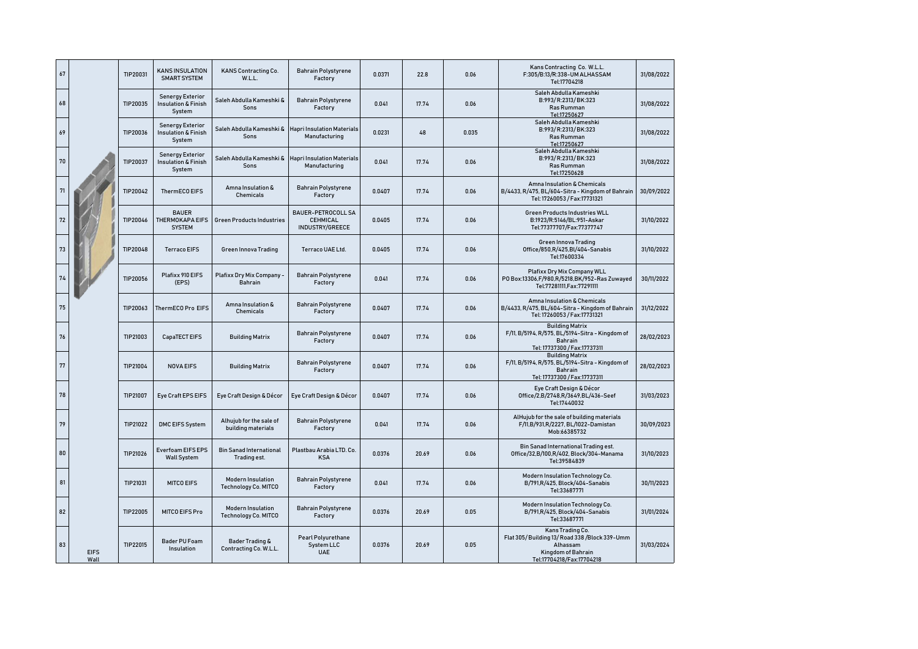| 67 |                     | TIP20031 | <b>KANS INSULATION</b><br><b>SMART SYSTEM</b>                       | KANS Contracting Co.<br>W.L.L.                   | <b>Bahrain Polystyrene</b><br>Factory                    | 0.0371 | 22.8  | 0.06  | Kans Contracting Co. W.L.L.<br>F:305/B:13/R:338-UM ALHASSAM<br>Tel:17704218                                                    | 31/08/2022 |
|----|---------------------|----------|---------------------------------------------------------------------|--------------------------------------------------|----------------------------------------------------------|--------|-------|-------|--------------------------------------------------------------------------------------------------------------------------------|------------|
| 68 |                     | TIP20035 | <b>Senergy Exterior</b><br><b>Insulation &amp; Finish</b><br>System | Saleh Abdulla Kameshki &<br>Sons                 | <b>Bahrain Polystyrene</b><br>Factory                    | 0.041  | 17.74 | 0.06  | Saleh Abdulla Kameshki<br>B:993/R:2313/BK:323<br>Ras Rumman<br>Tel:17250627                                                    | 31/08/2022 |
| 69 |                     | TIP20036 | <b>Senergy Exterior</b><br><b>Insulation &amp; Finish</b><br>System | Saleh Abdulla Kameshki &<br>Sons                 | <b>Hapri Insulation Materials</b><br>Manufacturing       | 0.0231 | 48    | 0.035 | Saleh Abdulla Kameshki<br>B:993/R:2313/BK:323<br>Ras Rumman<br>Tel:17250627                                                    | 31/08/2022 |
| 70 |                     | TIP20037 | <b>Senergy Exterior</b><br><b>Insulation &amp; Finish</b><br>System | Saleh Abdulla Kameshki &<br>Sons                 | <b>Hapri Insulation Materials</b><br>Manufacturing       | 0.041  | 17.74 | 0.06  | Saleh Abdulla Kameshki<br>B:993/R:2313/BK:323<br>Ras Rumman<br>Tel:17250628                                                    | 31/08/2022 |
| 71 |                     | TIP20042 | ThermECO EIFS                                                       | Amna Insulation &<br>Chemicals                   | <b>Bahrain Polystyrene</b><br>Factory                    | 0.0407 | 17.74 | 0.06  | Amna Insulation & Chemicals<br>B/4433, R/475, BL/604-Sitra - Kingdom of Bahrain<br>Tel: 17260053 / Fax:17731321                | 30/09/2022 |
| 72 |                     | TIP20046 | <b>BAUER</b><br>THERMOKAPA EIFS<br><b>SYSTEM</b>                    | <b>Green Products Industries</b>                 | <b>BAUER-PETROCOLL SA</b><br>CEHMICAL<br>INDUSTRY/GREECE | 0.0405 | 17.74 | 0.06  | Green Products Industries WLL<br>B:1923/R:5146/BL:951-Askar<br>Tel:77377707/Fax:77377747                                       | 31/10/2022 |
| 73 |                     | TIP20048 | <b>Terraco EIFS</b>                                                 | <b>Green Innova Trading</b>                      | Terraco UAE Ltd.                                         | 0.0405 | 17.74 | 0.06  | Green Innova Trading<br>Office/850,R/425,BI/404-Sanabis<br>Tel:17600334                                                        | 31/10/2022 |
| 74 |                     | TIP20056 | Plafixx 910 EIFS<br>(EPS)                                           | Plafixx Dry Mix Company -<br><b>Bahrain</b>      | <b>Bahrain Polystyrene</b><br>Factory                    | 0.041  | 17.74 | 0.06  | Plafixx Dry Mix Company WLL<br>P0 Box:13306,F/980,R/5218,BK/952-Ras Zuwayed<br>Tel:77281111.Fax:77291111                       | 30/11/2022 |
| 75 |                     | TIP20063 | ThermECO Pro EIFS                                                   | Amna Insulation &<br><b>Chemicals</b>            | <b>Bahrain Polystyrene</b><br>Factory                    | 0.0407 | 17.74 | 0.06  | Amna Insulation & Chemicals<br>B/4433, R/475, BL/604-Sitra - Kingdom of Bahrain<br>Tel: 17260053 / Fax:17731321                | 31/12/2022 |
| 76 |                     | TIP21003 | CapaTECT EIFS                                                       | <b>Building Matrix</b>                           | <b>Bahrain Polystyrene</b><br>Factory                    | 0.0407 | 17.74 | 0.06  | <b>Building Matrix</b><br>F/11, B/5194, R/575, BL/5194-Sitra - Kingdom of<br>Bahrain<br>Tel: 17737300 / Fax:17737311           | 28/02/2023 |
| 77 |                     | TIP21004 | <b>NOVA EIFS</b>                                                    | <b>Building Matrix</b>                           | <b>Bahrain Polystyrene</b><br>Factory                    | 0.0407 | 17.74 | 0.06  | <b>Building Matrix</b><br>F/11, B/5194, R/575, BL/5194-Sitra - Kingdom of<br><b>Bahrain</b><br>Tel: 17737300 / Fax:17737311    | 28/02/2023 |
| 78 |                     | TIP21007 | Eye Craft EPS EIFS                                                  | Eye Craft Design & Décor                         | Eye Craft Design & Décor                                 | 0.0407 | 17.74 | 0.06  | Eye Craft Design & Décor<br>Office/2,B/2748,R/3649,BL/436-Seef<br>Tel:17440032                                                 | 31/03/2023 |
| 79 |                     | TIP21022 | <b>DMC EIFS System</b>                                              | Alhujub for the sale of<br>building materials    | <b>Bahrain Polystyrene</b><br>Factory                    | 0.041  | 17.74 | 0.06  | AlHujub for the sale of building materials<br>F/11,B/931,R/2227, BL/1022-Damistan<br>Mob:66385732                              | 30/09/2023 |
| 80 |                     | TIP21026 | Everfoam EIFS EPS<br><b>Wall System</b>                             | <b>Bin Sanad International</b><br>Trading est.   | Plastbau Arabia LTD, Co.<br><b>KSA</b>                   | 0.0376 | 20.69 | 0.06  | Bin Sanad International Trading est.<br>Office/32,B/100,R/402, Block/304-Manama<br>Tel:39584839                                | 31/10/2023 |
| 81 |                     | TIP21031 | <b>MITCO EIFS</b>                                                   | <b>Modern Insulation</b><br>Technology Co. MITCO | <b>Bahrain Polystyrene</b><br>Factory                    | 0.041  | 17.74 | 0.06  | Modern Insulation Technology Co.<br>B/791,R/425, Block/404-Sanabis<br>Tel:33687771                                             | 30/11/2023 |
| 82 |                     | TIP22005 | MITCO EIFS Pro                                                      | <b>Modern Insulation</b><br>Technology Co. MITCO | <b>Bahrain Polystyrene</b><br>Factory                    | 0.0376 | 20.69 | 0.05  | Modern Insulation Technology Co.<br>B/791,R/425, Block/404-Sanabis<br>Tel:33687771                                             | 31/01/2024 |
| 83 | <b>EIFS</b><br>Wall | TIP22015 | <b>Bader PU Foam</b><br>Insulation                                  | Bader Trading &<br>Contracting Co. W.L.L.        | Pearl Polyurethane<br>System LLC<br><b>UAE</b>           | 0.0376 | 20.69 | 0.05  | Kans Trading Co.<br>Flat 305/Building 13/Road 338/Block 339-Umm<br>Alhassam<br>Kingdom of Bahrain<br>Tel:17704218/Fax:17704218 | 31/03/2024 |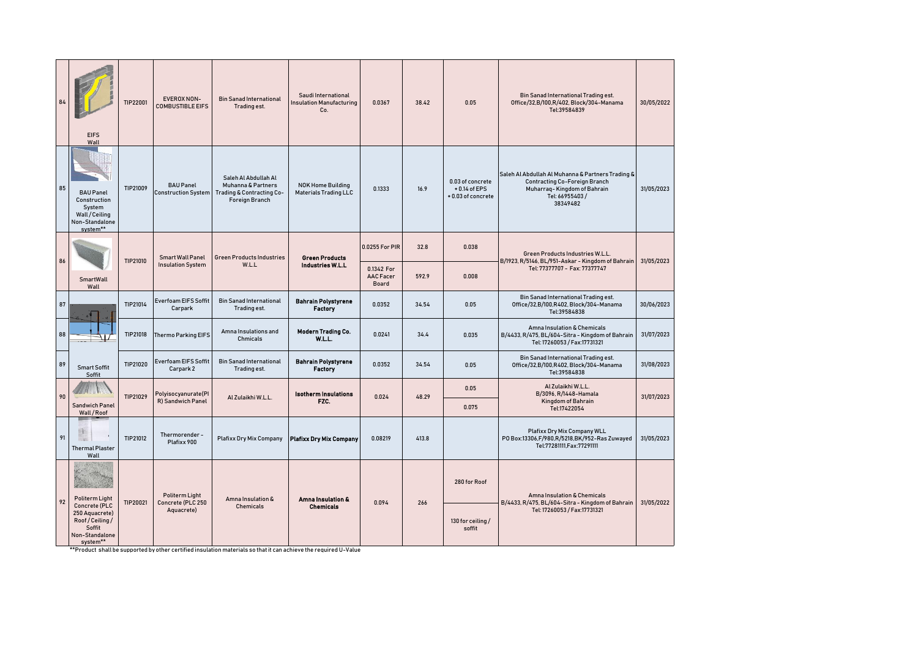|    | <b>EIFS</b><br>Wall                                                                                        | TIP22001 | EVEROX NON-<br><b>COMBUSTIBLE EIFS</b>            | <b>Bin Sanad International</b><br>Trading est.                                                                   | Saudi International<br><b>Insulation Manufacturing</b><br>Co. | 0.0367                                  | 38.42 | 0.05                                                    | Bin Sanad International Trading est.<br>Office/32,B/100,R/402, Block/304-Manama<br>Tel:39584839                                                        | 30/05/2022 |
|----|------------------------------------------------------------------------------------------------------------|----------|---------------------------------------------------|------------------------------------------------------------------------------------------------------------------|---------------------------------------------------------------|-----------------------------------------|-------|---------------------------------------------------------|--------------------------------------------------------------------------------------------------------------------------------------------------------|------------|
| 85 | <b>BAU Panel</b><br>Construction<br>System<br>Wall / Ceiling<br>Non-Standalone<br>system**                 | TIP21009 | <b>BAU Panel</b><br><b>Construction System</b>    | Saleh Al Abdullah Al<br>Muhanna & Partners<br><b>Trading &amp; Contracting Co-</b><br><b>Foreign Branch</b>      | <b>NOK Home Building</b><br><b>Materials Trading LLC</b>      | 0.1333                                  | 16.9  | 0.03 of concrete<br>$+0.14$ of EPS<br>+0.03 of concrete | Saleh Al Abdullah Al Muhanna & Partners Trading &<br><b>Contracting Co-Foreign Branch</b><br>Muharraq-Kingdom of Bahrain<br>Tel: 66955403/<br>38349482 | 31/05/2023 |
|    |                                                                                                            |          | <b>Smart Wall Panel</b>                           | <b>Green Products Industries</b>                                                                                 | <b>Green Products</b>                                         | 0.0255 For PIR                          | 32.8  | 0.038                                                   | Green Products Industries W.L.L.                                                                                                                       |            |
| 86 | SmartWall<br>Wall                                                                                          | TIP21010 | <b>Insulation System</b>                          | W.L.L                                                                                                            | <b>Industries W.L.L</b>                                       | 0.1342 For<br><b>AAC Facer</b><br>Board | 592.9 | 0.008                                                   | B/1923, R/5146, BL/951-Askar - Kingdom of Bahrain<br>Tel: 77377707 - Fax: 77377747                                                                     | 31/05/2023 |
| 87 |                                                                                                            | TIP21014 | <b>Everfoam EIFS Soffit</b><br>Carpark            | <b>Bin Sanad International</b><br>Trading est.                                                                   | <b>Bahrain Polystyrene</b><br><b>Factory</b>                  | 0.0352                                  | 34.54 | 0.05                                                    | Bin Sanad International Trading est.<br>Office/32,B/100,R402, Block/304-Manama<br>Tel:39584838                                                         | 30/06/2023 |
| 88 |                                                                                                            | TIP21018 | <b>Thermo Parking EIFS</b>                        | Amna Insulations and<br>Chmicals                                                                                 | Modern Trading Co.<br>W.L.L.                                  | 0.0241                                  | 34.4  | 0.035                                                   | Amna Insulation & Chemicals<br>B/4433, R/475, BL/604-Sitra - Kingdom of Bahrain<br>Tel: 17260053 / Fax:17731321                                        | 31/07/2023 |
| 89 | <b>Smart Soffit</b><br>Soffit                                                                              | TIP21020 | <b>Everfoam EIFS Soffit</b><br>Carpark 2          | <b>Bin Sanad International</b><br>Trading est.                                                                   | <b>Bahrain Polystyrene</b><br>Factory                         | 0.0352                                  | 34.54 | 0.05                                                    | Bin Sanad International Trading est.<br>Office/32,B/100,R402, Block/304-Manama<br>Tel:39584838                                                         | 31/08/2023 |
| 90 | <b>Sandwich Panel</b><br>Wall/Roof                                                                         | TIP21029 | Polyisocyanurate(Pl<br>R) Sandwich Panel          | Al Zulaikhi W.L.L.                                                                                               | <b>Isotherm Insulations</b><br>FZC.                           | 0.024                                   | 48.29 | 0.05<br>0.075                                           | Al Zulaikhi W.L.L.<br>B/3096, R/1448-Hamala<br>Kingdom of Bahrain<br>Tel:17422054                                                                      | 31/07/2023 |
| 91 | <b>Thermal Plaster</b><br>Wall                                                                             | TIP21012 | Thermorender-<br>Plafixx 900                      | <b>Plafixx Dry Mix Company</b>                                                                                   | <b>Plafixx Dry Mix Company</b>                                | 0.08219                                 | 413.8 |                                                         | Plafixx Dry Mix Company WLL<br>P0 Box:13306,F/980,R/5218,BK/952-Ras Zuwayed<br>Tel:77281111, Fax: 77291111                                             | 31/05/2023 |
| 92 | Politerm Light<br>Concrete (PLC<br>250 Aquacrete)<br>Roof/Ceiling/<br>Soffit<br>Non-Standalone<br>system** | TIP20021 | Politerm Light<br>Concrete (PLC 250<br>Aquacrete) | Amna Insulation &<br>Chemicals                                                                                   | Amna Insulation &<br><b>Chemicals</b>                         | 0.094                                   | 266   | 280 for Roof<br>130 for ceiling/<br>soffit              | Amna Insulation & Chemicals<br>B/4433, R/475, BL/604-Sitra - Kingdom of Bahrain<br>Tel: 17260053 / Fax:17731321                                        | 31/05/2022 |
|    |                                                                                                            |          |                                                   | **Product shall be supported by other certified insulation materials so that it can achieve the required U-Value |                                                               |                                         |       |                                                         |                                                                                                                                                        |            |